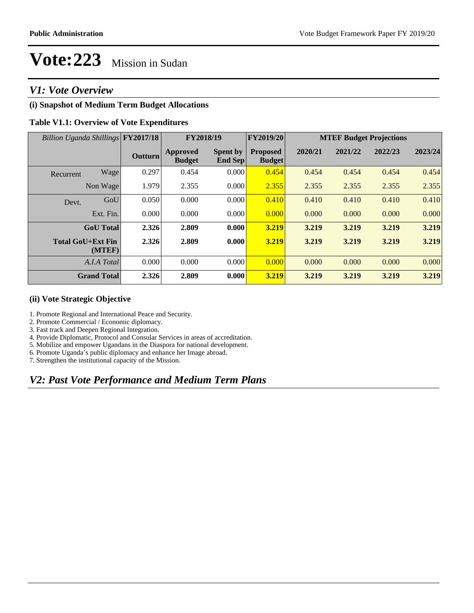# *V1: Vote Overview*

# **(i) Snapshot of Medium Term Budget Allocations**

## **Table V1.1: Overview of Vote Expenditures**

| Billion Uganda Shillings FY2017/18 |                    |                | FY2018/19                 |                                   | FY2019/20                        | <b>MTEF Budget Projections</b> |         |         |         |  |
|------------------------------------|--------------------|----------------|---------------------------|-----------------------------------|----------------------------------|--------------------------------|---------|---------|---------|--|
|                                    |                    | <b>Outturn</b> | Approved<br><b>Budget</b> | <b>Spent by</b><br><b>End Sep</b> | <b>Proposed</b><br><b>Budget</b> | 2020/21                        | 2021/22 | 2022/23 | 2023/24 |  |
| Recurrent                          | Wage               | 0.297          | 0.454                     | 0.000                             | 0.454                            | 0.454                          | 0.454   | 0.454   | 0.454   |  |
|                                    | Non Wage           | 1.979          | 2.355                     | 0.000                             | 2.355                            | 2.355                          | 2.355   | 2.355   | 2.355   |  |
| Devt.                              | GoU                | 0.050          | 0.000                     | 0.000                             | 0.410                            | 0.410                          | 0.410   | 0.410   | 0.410   |  |
|                                    | Ext. Fin.          | 0.000          | 0.000                     | 0.000                             | 0.000                            | 0.000                          | 0.000   | 0.000   | 0.000   |  |
|                                    | <b>GoU</b> Total   | 2.326          | 2.809                     | 0.000                             | 3.219                            | 3.219                          | 3.219   | 3.219   | 3.219   |  |
| <b>Total GoU+Ext Fin</b>           | (MTEF)             | 2.326          | 2.809                     | 0.000                             | 3.219                            | 3.219                          | 3.219   | 3.219   | 3.219   |  |
|                                    | A.I.A Total        | 0.000          | 0.000                     | 0.000                             | 0.000                            | 0.000                          | 0.000   | 0.000   | 0.000   |  |
|                                    | <b>Grand Total</b> | 2.326          | 2.809                     | 0.000                             | 3.219                            | 3.219                          | 3.219   | 3.219   | 3.219   |  |

### **(ii) Vote Strategic Objective**

1. Promote Regional and International Peace and Security.

2. Promote Commercial / Economic diplomacy.

3. Fast track and Deepen Regional Integration.

4. Provide Diplomatic, Protocol and Consular Services in areas of accreditation.

5. Mobilize and empower Ugandans in the Diaspora for national development.

6. Promote Uganda's public diplomacy and enhance her Image abroad.

7. Strengthen the institutional capacity of the Mission.

# *V2: Past Vote Performance and Medium Term Plans*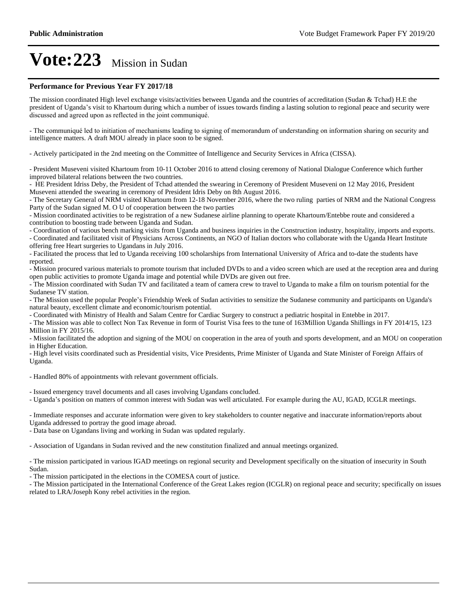#### **Performance for Previous Year FY 2017/18**

The mission coordinated High level exchange visits/activities between Uganda and the countries of accreditation (Sudan & Tchad) H.E the president of Uganda's visit to Khartoum during which a number of issues towards finding a lasting solution to regional peace and security were discussed and agreed upon as reflected in the joint communiqué.

- The communiqué led to initiation of mechanisms leading to signing of memorandum of understanding on information sharing on security and intelligence matters. A draft MOU already in place soon to be signed.

- Actively participated in the 2nd meeting on the Committee of Intelligence and Security Services in Africa (CISSA).

- President Museveni visited Khartoum from 10-11 October 2016 to attend closing ceremony of National Dialogue Conference which further improved bilateral relations between the two countries.

- HE President Idriss Deby, the President of Tchad attended the swearing in Ceremony of President Museveni on 12 May 2016, President Museveni attended the swearing in ceremony of President Idris Deby on 8th August 2016.

- The Secretary General of NRM visited Khartoum from 12-18 November 2016, where the two ruling parties of NRM and the National Congress Party of the Sudan signed M. O U of cooperation between the two parties

- Mission coordinated activities to be registration of a new Sudanese airline planning to operate Khartoum/Entebbe route and considered a contribution to boosting trade between Uganda and Sudan.

- Coordination of various bench marking visits from Uganda and business inquiries in the Construction industry, hospitality, imports and exports.

- Coordinated and facilitated visit of Physicians Across Continents, an NGO of Italian doctors who collaborate with the Uganda Heart Institute offering free Heart surgeries to Ugandans in July 2016.

- Facilitated the process that led to Uganda receiving 100 scholarships from International University of Africa and to-date the students have reported.

- Mission procured various materials to promote tourism that included DVDs to and a video screen which are used at the reception area and during open public activities to promote Uganda image and potential while DVDs are given out free.

- The Mission coordinated with Sudan TV and facilitated a team of camera crew to travel to Uganda to make a film on tourism potential for the Sudanese TV station.

- The Mission used the popular People's Friendship Week of Sudan activities to sensitize the Sudanese community and participants on Uganda's natural beauty, excellent climate and economic/tourism potential.

- Coordinated with Ministry of Health and Salam Centre for Cardiac Surgery to construct a pediatric hospital in Entebbe in 2017.

- The Mission was able to collect Non Tax Revenue in form of Tourist Visa fees to the tune of 163Million Uganda Shillings in FY 2014/15, 123 Million in FY 2015/16.

- Mission facilitated the adoption and signing of the MOU on cooperation in the area of youth and sports development, and an MOU on cooperation in Higher Education.

- High level visits coordinated such as Presidential visits, Vice Presidents, Prime Minister of Uganda and State Minister of Foreign Affairs of Uganda.

- Handled 80% of appointments with relevant government officials.

- Issued emergency travel documents and all cases involving Ugandans concluded.

- Uganda's position on matters of common interest with Sudan was well articulated. For example during the AU, IGAD, ICGLR meetings.

- Immediate responses and accurate information were given to key stakeholders to counter negative and inaccurate information/reports about Uganda addressed to portray the good image abroad.

- Data base on Ugandans living and working in Sudan was updated regularly.

- Association of Ugandans in Sudan revived and the new constitution finalized and annual meetings organized.

- The mission participated in various IGAD meetings on regional security and Development specifically on the situation of insecurity in South Sudan.

- The mission participated in the elections in the COMESA court of justice.

- The Mission participated in the International Conference of the Great Lakes region (ICGLR) on regional peace and security; specifically on issues related to LRA/Joseph Kony rebel activities in the region.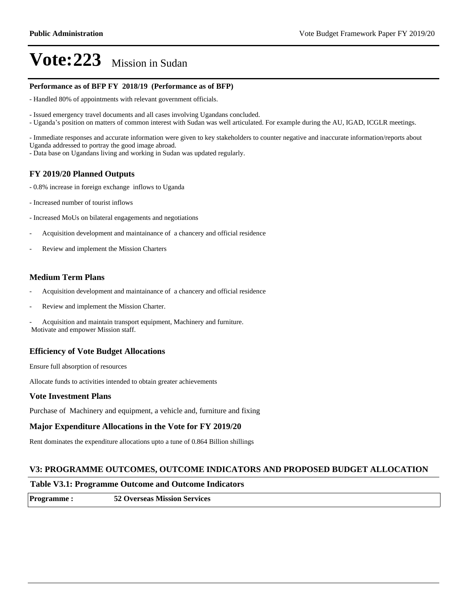#### **Performance as of BFP FY 2018/19 (Performance as of BFP)**

- Handled 80% of appointments with relevant government officials.

- Issued emergency travel documents and all cases involving Ugandans concluded.

- Uganda's position on matters of common interest with Sudan was well articulated. For example during the AU, IGAD, ICGLR meetings.

- Immediate responses and accurate information were given to key stakeholders to counter negative and inaccurate information/reports about Uganda addressed to portray the good image abroad.

- Data base on Ugandans living and working in Sudan was updated regularly.

## **FY 2019/20 Planned Outputs**

- 0.8% increase in foreign exchange inflows to Uganda
- Increased number of tourist inflows
- Increased MoUs on bilateral engagements and negotiations
- Acquisition development and maintainance of a chancery and official residence
- Review and implement the Mission Charters

## **Medium Term Plans**

- Acquisition development and maintainance of a chancery and official residence
- Review and implement the Mission Charter.

Acquisition and maintain transport equipment, Machinery and furniture. Motivate and empower Mission staff.

## **Efficiency of Vote Budget Allocations**

Ensure full absorption of resources

Allocate funds to activities intended to obtain greater achievements

#### **Vote Investment Plans**

Purchase of Machinery and equipment, a vehicle and, furniture and fixing

#### **Major Expenditure Allocations in the Vote for FY 2019/20**

Rent dominates the expenditure allocations upto a tune of 0.864 Billion shillings

#### **V3: PROGRAMME OUTCOMES, OUTCOME INDICATORS AND PROPOSED BUDGET ALLOCATION**

#### **Table V3.1: Programme Outcome and Outcome Indicators**

**Programme : 52 Overseas Mission Services**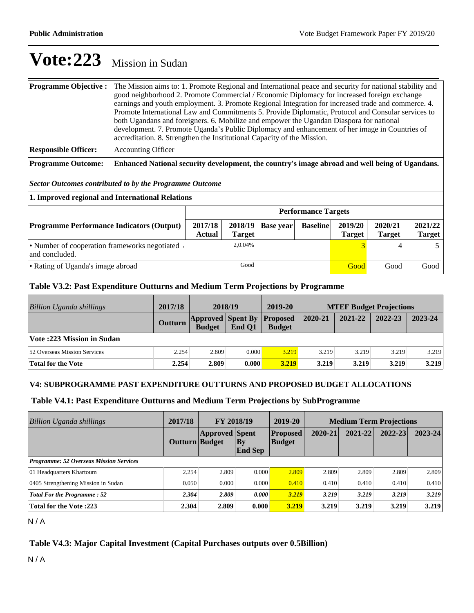| <b>Programme Objective :</b> | The Mission aims to: 1. Promote Regional and International peace and security for national stability and<br>good neighborhood 2. Promote Commercial / Economic Diplomacy for increased foreign exchange<br>earnings and youth employment. 3. Promote Regional Integration for increased trade and commerce. 4.<br>Promote International Law and Commitments 5. Provide Diplomatic, Protocol and Consular services to<br>both Ugandans and foreigners. 6. Mobilize and empower the Ugandan Diaspora for national<br>development. 7. Promote Uganda's Public Diplomacy and enhancement of her image in Countries of<br>accreditation. 8. Strengthen the Institutional Capacity of the Mission. |  |  |  |  |  |
|------------------------------|----------------------------------------------------------------------------------------------------------------------------------------------------------------------------------------------------------------------------------------------------------------------------------------------------------------------------------------------------------------------------------------------------------------------------------------------------------------------------------------------------------------------------------------------------------------------------------------------------------------------------------------------------------------------------------------------|--|--|--|--|--|
| <b>Responsible Officer:</b>  | <b>Accounting Officer</b>                                                                                                                                                                                                                                                                                                                                                                                                                                                                                                                                                                                                                                                                    |  |  |  |  |  |

**Programme Outcome: Enhanced National security development, the country's image abroad and well being of Ugandans.**

*Sector Outcomes contributed to by the Programme Outcome*

| 1. Improved regional and International Relations                 |                            |               |                     |                 |                          |                          |                          |  |  |  |
|------------------------------------------------------------------|----------------------------|---------------|---------------------|-----------------|--------------------------|--------------------------|--------------------------|--|--|--|
|                                                                  | <b>Performance Targets</b> |               |                     |                 |                          |                          |                          |  |  |  |
| <b>Programme Performance Indicators (Output)</b>                 | 2017/18<br>Actual          | <b>Target</b> | $2018/19$ Base year | <b>Baseline</b> | 2019/20<br><b>Target</b> | 2020/21<br><b>Target</b> | 2021/22<br><b>Target</b> |  |  |  |
| • Number of cooperation frameworks negotiated.<br>and concluded. |                            | 2.0.04%       |                     |                 |                          |                          |                          |  |  |  |
| • Rating of Uganda's image abroad                                |                            | Good          |                     |                 | Good                     | Good                     | Good                     |  |  |  |

## **Table V3.2: Past Expenditure Outturns and Medium Term Projections by Programme**

| <b>Billion Uganda shillings</b>  | 2017/18 | 2018/19                                   |        | 2019-20                          | <b>MTEF Budget Projections</b> |         |         |         |
|----------------------------------|---------|-------------------------------------------|--------|----------------------------------|--------------------------------|---------|---------|---------|
|                                  | Outturn | <b>Approved Spent By</b><br><b>Budget</b> | End O1 | <b>Proposed</b><br><b>Budget</b> | 2020-21                        | 2021-22 | 2022-23 | 2023-24 |
| <b>Vote:223 Mission in Sudan</b> |         |                                           |        |                                  |                                |         |         |         |
| 52 Overseas Mission Services     | 2.254   | 2.809                                     | 0.000  | 3.219                            | 3.219                          | 3.219   | 3.219   | 3.219   |
| <b>Total for the Vote</b>        | 2.254   | 2.809                                     | 0.000  | 3.219                            | 3.219                          | 3.219   | 3.219   | 3.219   |

#### **V4: SUBPROGRAMME PAST EXPENDITURE OUTTURNS AND PROPOSED BUDGET ALLOCATIONS**

## **Table V4.1: Past Expenditure Outturns and Medium Term Projections by SubProgramme**

| <b>Billion Uganda shillings</b>                | 2017/18<br><b>FY 2018/19</b> |                       | 2019-20                     | <b>Medium Term Projections</b>   |         |         |             |             |  |
|------------------------------------------------|------------------------------|-----------------------|-----------------------------|----------------------------------|---------|---------|-------------|-------------|--|
|                                                | Outturn Budget               | <b>Approved Spent</b> | <b>By</b><br><b>End Sep</b> | <b>Proposed</b><br><b>Budget</b> | 2020-21 | 2021-22 | $2022 - 23$ | $2023 - 24$ |  |
| <b>Programme: 52 Overseas Mission Services</b> |                              |                       |                             |                                  |         |         |             |             |  |
| 01 Headquarters Khartoum                       | 2.254                        | 2.809                 | 0.000                       | 2.809                            | 2.809   | 2.809   | 2.809       | 2.809       |  |
| 0405 Strengthening Mission in Sudan            | 0.050                        | 0.000                 | 0.000                       | 0.410                            | 0.410   | 0.410   | 0.410       | 0.410       |  |
| <b>Total For the Programme: 52</b>             | 2.304                        | 2.809                 | 0.000                       | 3.219                            | 3.219   | 3.219   | 3.219       | 3.219       |  |
| <b>Total for the Vote:223</b>                  | 2.304                        | 2.809                 | 0.000                       | 3.219                            | 3.219   | 3.219   | 3.219       | 3.219       |  |

 $N/A$ 

# **Table V4.3: Major Capital Investment (Capital Purchases outputs over 0.5Billion)**

N / A